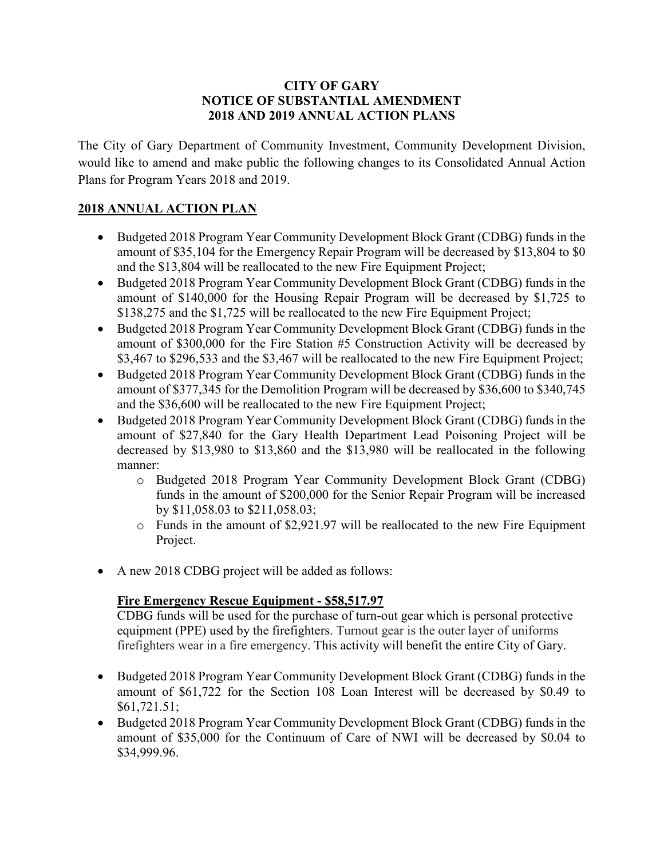#### **CITY OF GARY NOTICE OF SUBSTANTIAL AMENDMENT 2018 AND 2019 ANNUAL ACTION PLANS**

The City of Gary Department of Community Investment, Community Development Division, would like to amend and make public the following changes to its Consolidated Annual Action Plans for Program Years 2018 and 2019.

#### **2018 ANNUAL ACTION PLAN**

- Budgeted 2018 Program Year Community Development Block Grant (CDBG) funds in the amount of \$35,104 for the Emergency Repair Program will be decreased by \$13,804 to \$0 and the \$13,804 will be reallocated to the new Fire Equipment Project;
- Budgeted 2018 Program Year Community Development Block Grant (CDBG) funds in the amount of \$140,000 for the Housing Repair Program will be decreased by \$1,725 to \$138,275 and the \$1,725 will be reallocated to the new Fire Equipment Project;
- Budgeted 2018 Program Year Community Development Block Grant (CDBG) funds in the amount of \$300,000 for the Fire Station #5 Construction Activity will be decreased by \$3,467 to \$296,533 and the \$3,467 will be reallocated to the new Fire Equipment Project;
- Budgeted 2018 Program Year Community Development Block Grant (CDBG) funds in the amount of \$377,345 for the Demolition Program will be decreased by \$36,600 to \$340,745 and the \$36,600 will be reallocated to the new Fire Equipment Project;
- Budgeted 2018 Program Year Community Development Block Grant (CDBG) funds in the amount of \$27,840 for the Gary Health Department Lead Poisoning Project will be decreased by \$13,980 to \$13,860 and the \$13,980 will be reallocated in the following manner:
	- o Budgeted 2018 Program Year Community Development Block Grant (CDBG) funds in the amount of \$200,000 for the Senior Repair Program will be increased by \$11,058.03 to \$211,058.03;
	- o Funds in the amount of \$2,921.97 will be reallocated to the new Fire Equipment Project.
- A new 2018 CDBG project will be added as follows:

## **Fire Emergency Rescue Equipment - \$58,517.97**

CDBG funds will be used for the purchase of turn-out gear which is personal protective equipment (PPE) used by the firefighters. Turnout gear is the outer layer of uniforms firefighters wear in a fire emergency. This activity will benefit the entire City of Gary.

- Budgeted 2018 Program Year Community Development Block Grant (CDBG) funds in the amount of \$61,722 for the Section 108 Loan Interest will be decreased by \$0.49 to \$61,721.51;
- Budgeted 2018 Program Year Community Development Block Grant (CDBG) funds in the amount of \$35,000 for the Continuum of Care of NWI will be decreased by \$0.04 to \$34,999.96.